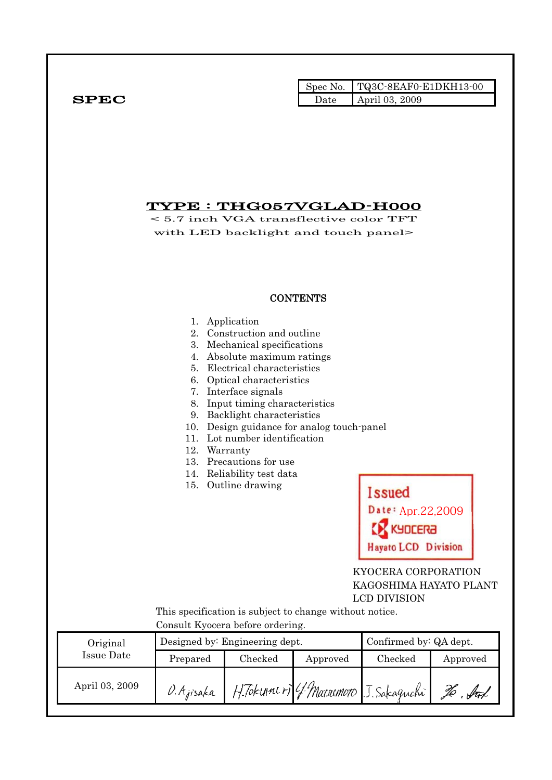|              |      | Spec No. TQ3C-8EAF0-E1DKH13-00 |
|--------------|------|--------------------------------|
| ${\bf SPEC}$ | Date | April 03, 2009                 |

# TYPE : THG057VGLAD-H000

< 5.7 inch VGA transflective color TFT with LED backlight and touch panel>

## **CONTENTS**

- 1. Application
- 2. Construction and outline
- 3. Mechanical specifications
- 4. Absolute maximum ratings
- 5. Electrical characteristics
- 6. Optical characteristics
- 7. Interface signals
- 8. Input timing characteristics
- 9. Backlight characteristics
- 10. Design guidance for analog touch-panel
- 11. Lot number identification
- 12. Warranty
- 13. Precautions for use
- 14. Reliability test data
- 15. Outline drawing



 KYOCERA CORPORATION KAGOSHIMA HAYATO PLANT LCD DIVISION

 This specification is subject to change without notice. Consult Kyocera before ordering.

| Original       |            | Designed by: Engineering dept. |          | Confirmed by: QA dept.                |          |  |
|----------------|------------|--------------------------------|----------|---------------------------------------|----------|--|
| Issue Date     | Prepared   | Checked                        | Approved | Checked                               | Approved |  |
| April 03, 2009 | D. Ajisaka |                                |          | H. Tokunne + 4 Macromoro J. Sakaguchi |          |  |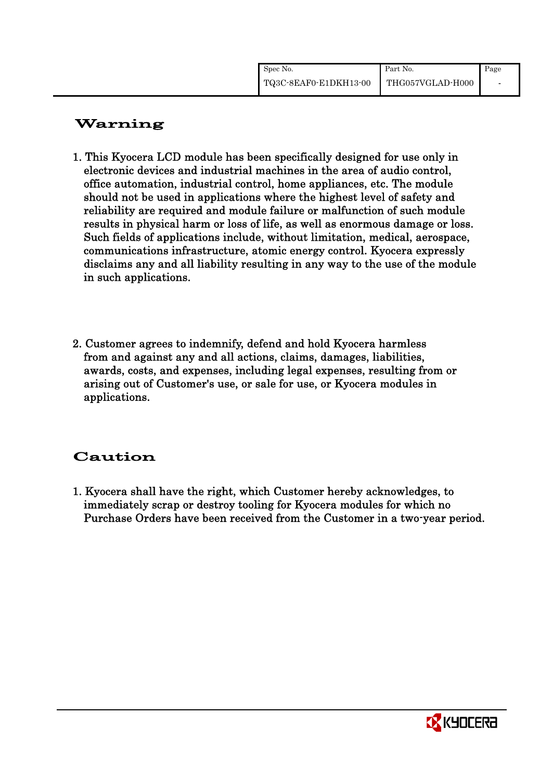| Spec No.              | Part No.         | Page |
|-----------------------|------------------|------|
| TQ3C-8EAF0-E1DKH13-00 | THG057VGLAD-H000 |      |

# Warning

- 1. This Kyocera LCD module has been specifically designed for use only in electronic devices and industrial machines in the area of audio control, office automation, industrial control, home appliances, etc. The module should not be used in applications where the highest level of safety and reliability are required and module failure or malfunction of such module results in physical harm or loss of life, as well as enormous damage or loss. Such fields of applications include, without limitation, medical, aerospace, communications infrastructure, atomic energy control. Kyocera expressly disclaims any and all liability resulting in any way to the use of the module in such applications.
- 2. Customer agrees to indemnify, defend and hold Kyocera harmless from and against any and all actions, claims, damages, liabilities, awards, costs, and expenses, including legal expenses, resulting from or arising out of Customer's use, or sale for use, or Kyocera modules in applications.

# Caution

1. Kyocera shall have the right, which Customer hereby acknowledges, to immediately scrap or destroy tooling for Kyocera modules for which no Purchase Orders have been received from the Customer in a two-year period.

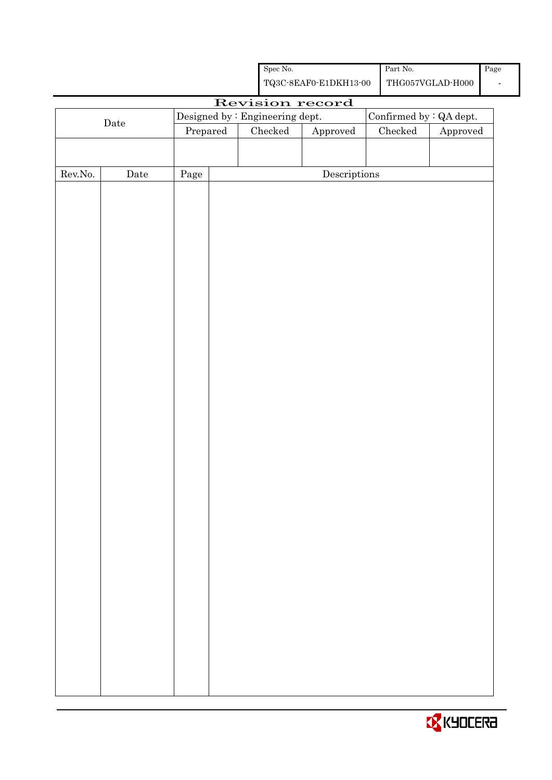|                                                            |                 |                                                                                                | Spec No.      |                                      |  | Part No.                 |          | Page |
|------------------------------------------------------------|-----------------|------------------------------------------------------------------------------------------------|---------------|--------------------------------------|--|--------------------------|----------|------|
|                                                            |                 | ${\bf TQ3C\text{-}SEAF0\text{-}E1DKH13\text{-}00}$<br>$\operatorname{THG057VGLAD\text{-}H000}$ |               |                                      |  | $\overline{\phantom{a}}$ |          |      |
|                                                            | Revision record |                                                                                                |               |                                      |  |                          |          |      |
| Confirmed by : QA dept.<br>Designed by : Engineering dept. |                 |                                                                                                |               |                                      |  |                          |          |      |
|                                                            | $\rm{Date}$     | Prepared                                                                                       | $\rm Checked$ | Approved                             |  | Checked                  | Approved |      |
|                                                            |                 |                                                                                                |               |                                      |  |                          |          |      |
|                                                            |                 |                                                                                                |               |                                      |  |                          |          |      |
| ${\rm Rev. No.}$                                           | Date            | Page                                                                                           |               | $\label{eq:2} \textbf{Descriptions}$ |  |                          |          |      |
|                                                            |                 |                                                                                                |               |                                      |  |                          |          |      |
|                                                            |                 |                                                                                                |               |                                      |  |                          |          |      |
|                                                            |                 |                                                                                                |               |                                      |  |                          |          |      |
|                                                            |                 |                                                                                                |               |                                      |  |                          |          |      |
|                                                            |                 |                                                                                                |               |                                      |  |                          |          |      |
|                                                            |                 |                                                                                                |               |                                      |  |                          |          |      |
|                                                            |                 |                                                                                                |               |                                      |  |                          |          |      |
|                                                            |                 |                                                                                                |               |                                      |  |                          |          |      |
|                                                            |                 |                                                                                                |               |                                      |  |                          |          |      |
|                                                            |                 |                                                                                                |               |                                      |  |                          |          |      |
|                                                            |                 |                                                                                                |               |                                      |  |                          |          |      |
|                                                            |                 |                                                                                                |               |                                      |  |                          |          |      |
|                                                            |                 |                                                                                                |               |                                      |  |                          |          |      |
|                                                            |                 |                                                                                                |               |                                      |  |                          |          |      |
|                                                            |                 |                                                                                                |               |                                      |  |                          |          |      |
|                                                            |                 |                                                                                                |               |                                      |  |                          |          |      |
|                                                            |                 |                                                                                                |               |                                      |  |                          |          |      |
|                                                            |                 |                                                                                                |               |                                      |  |                          |          |      |
|                                                            |                 |                                                                                                |               |                                      |  |                          |          |      |
|                                                            |                 |                                                                                                |               |                                      |  |                          |          |      |
|                                                            |                 |                                                                                                |               |                                      |  |                          |          |      |
|                                                            |                 |                                                                                                |               |                                      |  |                          |          |      |
|                                                            |                 |                                                                                                |               |                                      |  |                          |          |      |
|                                                            |                 |                                                                                                |               |                                      |  |                          |          |      |
|                                                            |                 |                                                                                                |               |                                      |  |                          |          |      |
|                                                            |                 |                                                                                                |               |                                      |  |                          |          |      |
|                                                            |                 |                                                                                                |               |                                      |  |                          |          |      |
|                                                            |                 |                                                                                                |               |                                      |  |                          |          |      |
|                                                            |                 |                                                                                                |               |                                      |  |                          |          |      |
|                                                            |                 |                                                                                                |               |                                      |  |                          |          |      |
|                                                            |                 |                                                                                                |               |                                      |  |                          |          |      |
|                                                            |                 |                                                                                                |               |                                      |  |                          |          |      |
|                                                            |                 |                                                                                                |               |                                      |  |                          |          |      |
|                                                            |                 |                                                                                                |               |                                      |  |                          |          |      |
|                                                            |                 |                                                                                                |               |                                      |  |                          |          |      |
|                                                            |                 |                                                                                                |               |                                      |  |                          |          |      |
|                                                            |                 |                                                                                                |               |                                      |  |                          |          |      |

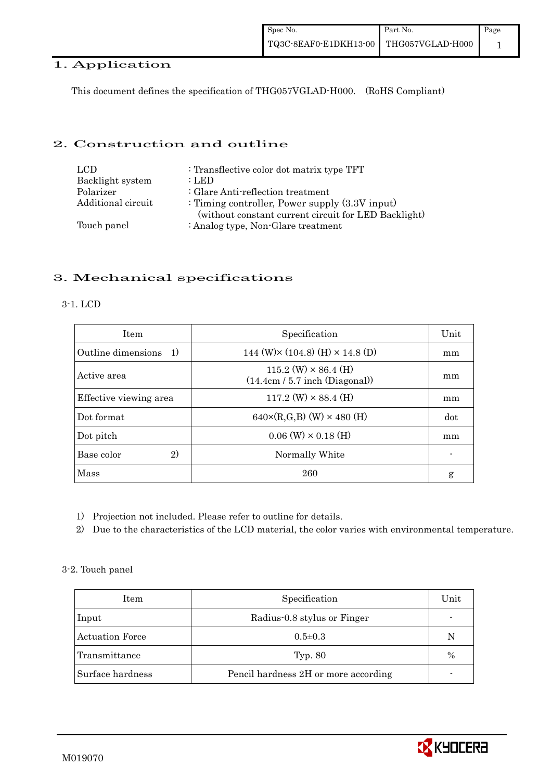## 1. Application

This document defines the specification of THG057VGLAD-H000. (RoHS Compliant)

## 2. Construction and outline

| LCD.               | : Transflective color dot matrix type TFT                                                                 |
|--------------------|-----------------------------------------------------------------------------------------------------------|
| Backlight system   | : LED                                                                                                     |
| Polarizer          | : Glare Anti-reflection treatment                                                                         |
| Additional circuit | : Timing controller, Power supply $(3.3V)$ input)<br>(without constant current circuit for LED Backlight) |
| Touch panel        | : Analog type, Non-Glare treatment                                                                        |

## 3. Mechanical specifications

#### 3-1. LCD

| <b>Item</b>            | Specification                                                   | Unit |
|------------------------|-----------------------------------------------------------------|------|
| Outline dimensions 1)  | 144 (W) $\times$ (104.8) (H) $\times$ 14.8 (D)                  | mm   |
| Active area            | $115.2$ (W) $\times$ 86.4 (H)<br>(14.4cm / 5.7 inch (Diagonal)) | mm   |
| Effective viewing area | $117.2$ (W) $\times$ 88.4 (H)                                   | mm   |
| Dot format             | $640 \times (R,G,B)$ (W) $\times 480$ (H)                       | dot  |
| Dot pitch              | $0.06$ (W) $\times$ 0.18 (H)                                    | mm   |
| 2)<br>Base color       | Normally White                                                  |      |
| Mass                   | 260                                                             | g    |

- 1) Projection not included. Please refer to outline for details.
- 2) Due to the characteristics of the LCD material, the color varies with environmental temperature.

### 3-2. Touch panel

| Item                   | Specification                        | Unit          |
|------------------------|--------------------------------------|---------------|
| Input                  | Radius-0.8 stylus or Finger          |               |
| <b>Actuation Force</b> | $0.5 \pm 0.3$                        | N             |
| Transmittance          | Typ. 80                              | $\frac{0}{0}$ |
| Surface hardness       | Pencil hardness 2H or more according |               |

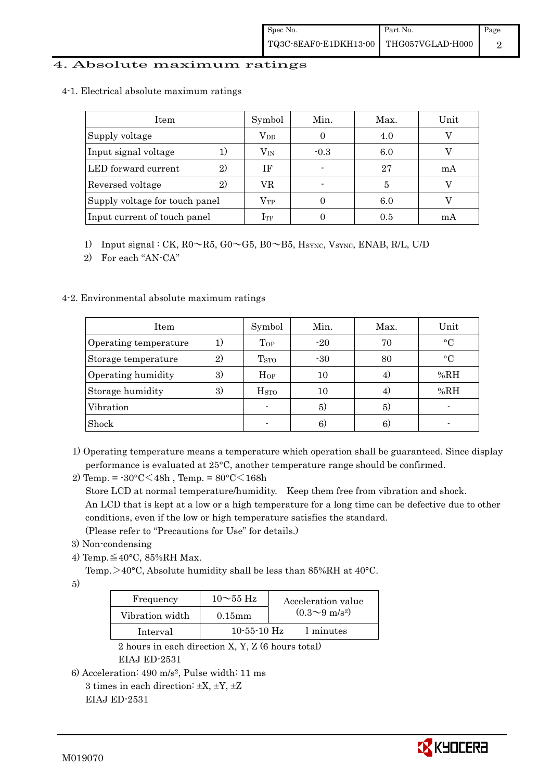### 4. Absolute maximum ratings

4-1. Electrical absolute maximum ratings

| Item                           | Symbol       | Min.   | Max. | Unit |
|--------------------------------|--------------|--------|------|------|
| Supply voltage                 | $\rm V_{DD}$ |        | 4.0  |      |
| Input signal voltage           | $\rm V_{IN}$ | $-0.3$ | 6.0  |      |
| LED forward current<br>2)      | ΙF           |        | 27   | mA   |
| Reversed voltage<br>2)         | VR           |        |      |      |
| Supply voltage for touch panel | $\rm V_{TP}$ |        | 6.0  |      |
| Input current of touch panel   | $\rm I_{TP}$ |        | 0.5  | mA   |

1) Input signal : CK, R0~R5, G0~G5, B0~B5, HSYNC, VSYNC, ENAB, R/L, U/D

2) For each "AN-CA"

## 4-2. Environmental absolute maximum ratings

| Item                  |                | Symbol                  | Min.  | Max. | Unit         |
|-----------------------|----------------|-------------------------|-------|------|--------------|
| Operating temperature |                | Top                     | $-20$ | 70   | $^{\circ}$ C |
| Storage temperature   | $\mathfrak{D}$ | T <sub>STO</sub>        | $-30$ | 80   | $^{\circ}$   |
| Operating humidity    | 3)             | $H_{OP}$                | 10    | 4,   | %RH          |
| Storage humidity      | 3)             | <b>H</b> <sub>sto</sub> | 10    | 4)   | %RH          |
| Vibration             |                |                         | 5)    | 5)   |              |
| Shock                 |                |                         | 6)    | 61   |              |

- 1) Operating temperature means a temperature which operation shall be guaranteed. Since display performance is evaluated at 25°C, another temperature range should be confirmed.
- 2) Temp. =  $-30^{\circ}$ C $<$ 48h, Temp. =  $80^{\circ}$ C $<$ 168h

Store LCD at normal temperature/humidity. Keep them free from vibration and shock. An LCD that is kept at a low or a high temperature for a long time can be defective due to other conditions, even if the low or high temperature satisfies the standard. (Please refer to "Precautions for Use" for details.)

- 3) Non-condensing
- 4) Temp. $\leq 40^{\circ}$ C, 85%RH Max.

Temp. >40°C, Absolute humidity shall be less than 85%RH at 40°C.

5)

| Frequency       | $10\sim$ 55 Hz    | Acceleration value           |
|-----------------|-------------------|------------------------------|
| Vibration width | $0.15$ mm         | $(0.3 \sim 9 \text{ m/s}^2)$ |
| Interval        | $10 - 55 - 10$ Hz | 1 minutes                    |

 2 hours in each direction X, Y, Z (6 hours total) EIAJ ED-2531

```
6) Acceleration: 490 m/s2, Pulse width: 11 ms 
3 times in each direction: \pm X, \pm Y, \pm Z
```
EIAJ ED-2531

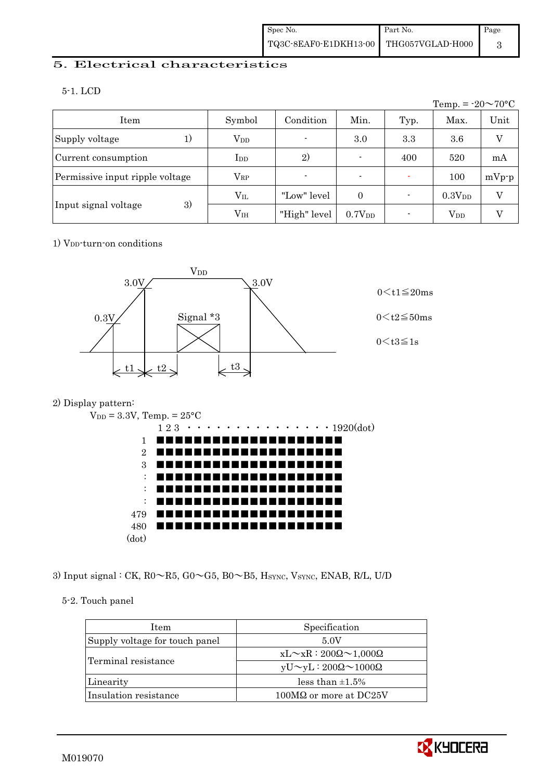## 5. Electrical characteristics

5-1. LCD

|                                 |                 |                          |                    |      | Temp. = $-20 \sim 70$ °C |         |
|---------------------------------|-----------------|--------------------------|--------------------|------|--------------------------|---------|
| Item                            | Symbol          | Condition                | Min.               | Typ. | Max.                     | Unit    |
| Supply voltage                  | $V_{DD}$        | $\overline{\phantom{0}}$ | 3.0                | 3.3  | 3.6                      | V       |
| Current consumption             | $_{\rm{LDD}}$   | 2)                       | $\blacksquare$     | 400  | 520                      | mA      |
| Permissive input ripple voltage | $\rm V_{RP}$    | $\blacksquare$           | $\blacksquare$     |      | 100                      | $mVp-p$ |
|                                 | $\rm V_{II}$    | "Low" level              | $\theta$           |      | 0.3V <sub>DD</sub>       | V       |
| 3)<br>Input signal voltage      | V <sub>IH</sub> | "High" level             | 0.7V <sub>DD</sub> |      | $V_{DD}$                 |         |

## 1) V<sub>DD</sub>-turn-on conditions



## 2) Display pattern:



3) Input signal : CK, R0~R5, G0~G5, B0~B5, HSYNC, VSYNC, ENAB, R/L, U/D

## 5-2. Touch panel

| <b>Item</b>                    | Specification                             |
|--------------------------------|-------------------------------------------|
| Supply voltage for touch panel | 5.0V                                      |
| Terminal resistance            | $xL \sim xR : 200\Omega \sim 1,000\Omega$ |
|                                | $yU \sim yL : 200\Omega \sim 1000\Omega$  |
| Linearity                      | less than $\pm 1.5\%$                     |
| Insulation resistance          | $100M\Omega$ or more at DC25V             |

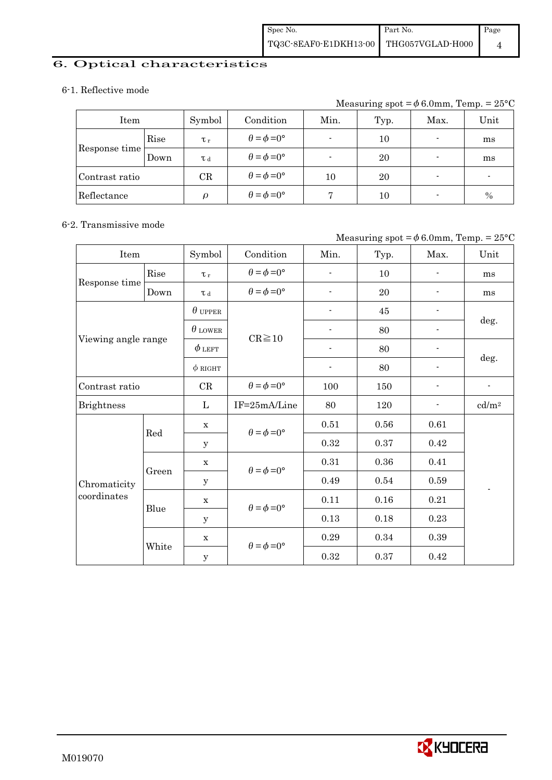## 6. Optical characteristics

### 6-1. Reflective mode

Measuring spot =  $\phi$  6.0mm, Temp. = 25°C

| Item           |      | Symbol      | Condition                   | Min.                     | Typ. | Max.           | Unit |
|----------------|------|-------------|-----------------------------|--------------------------|------|----------------|------|
|                | Rise | $\tau_r$    | $\theta = \phi = 0^{\circ}$ | $\overline{\phantom{0}}$ | 10   | ٠              | ms   |
| Response time  | Down | T d         | $\theta = \phi = 0^{\circ}$ |                          | 20   | $\blacksquare$ | ms   |
| Contrast ratio |      | $_{\rm CR}$ | $\theta = \phi = 0^{\circ}$ | 10                       | 20   | $\blacksquare$ |      |
| Reflectance    |      | $\Omega$    | $\theta = \phi = 0^{\circ}$ |                          | 10   | $\blacksquare$ | $\%$ |

### 6-2. Transmissive mode

## Measuring spot =  $\phi$  6.0mm, Temp. = 25°C

| Item                |       | Symbol         | Condition                   | Min.                     | Typ.     | Max.                     | Unit                     |  |
|---------------------|-------|----------------|-----------------------------|--------------------------|----------|--------------------------|--------------------------|--|
|                     | Rise  | $\tau_r$       | $\theta = \phi = 0^{\circ}$ | $\overline{a}$           | 10       | $\overline{\phantom{0}}$ | ms                       |  |
| Response time       | Down  | $\tau$ d       | $\theta = \phi = 0^{\circ}$ | $\overline{\phantom{a}}$ | 20       |                          | ms                       |  |
|                     |       | $\theta$ upper |                             | $\overline{\phantom{a}}$ | $45\,$   | $\overline{\phantom{0}}$ |                          |  |
|                     |       | $\theta$ lower | $CR \ge 10$                 |                          | 80       |                          | deg.                     |  |
| Viewing angle range |       | $\phi$ left    |                             |                          | 80       |                          |                          |  |
|                     |       | $\phi$ RIGHT   |                             | $\overline{\phantom{a}}$ | 80       | $\overline{\phantom{a}}$ | deg.                     |  |
| Contrast ratio      |       | CR             | $\theta = \phi = 0^{\circ}$ | 100                      | 150      | $\overline{\phantom{0}}$ | $\overline{\phantom{a}}$ |  |
| <b>Brightness</b>   |       | L              | IF=25mA/Line                | 80                       | 120      |                          | cd/m <sup>2</sup>        |  |
|                     |       | $\mathbf X$    | $\theta = \phi = 0^{\circ}$ | 0.51                     | $0.56\,$ | 0.61                     |                          |  |
|                     | Red   | У              |                             | 0.32                     | 0.37     | 0.42                     |                          |  |
|                     |       | $\mathbf X$    | $\theta = \phi = 0^{\circ}$ | 0.31                     | 0.36     | 0.41                     |                          |  |
| Chromaticity        | Green | У              |                             | 0.49                     | 0.54     | 0.59                     |                          |  |
| coordinates         | Blue  | $\mathbf X$    | $\theta = \phi = 0^{\circ}$ | 0.11                     | 0.16     | 0.21                     |                          |  |
|                     |       | $\mathbf y$    |                             | 0.13                     | 0.18     | 0.23                     |                          |  |
|                     |       | $\mathbf X$    | $\theta = \phi = 0^{\circ}$ | 0.29                     | 0.34     | 0.39                     |                          |  |
|                     | White | $\mathbf y$    |                             | 0.32                     | 0.37     | 0.42                     |                          |  |

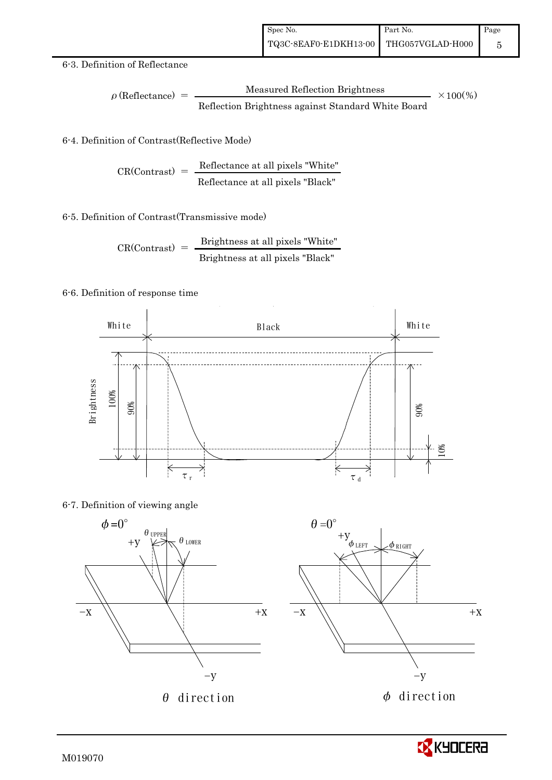### 6-3. Definition of Reflectance

$$
\rho \text{ (Reflectance)} = \frac{\text{Measured Reflection Brightness}}{\text{Reflection Brightness against Standard White Board}}
$$
 × 100%

## 6-4. Definition of Contrast(Reflective Mode)

$$
CR(Contrast) = \frac{Reference at all pixels "White" } {Reference at all pixels "Black" }
$$

### 6-5. Definition of Contrast(Transmissive mode)

$$
CR(Contrast) = \frac{Brightness \text{ at all pixels "White"}}{Brightness \text{ at all pixels "Black"}}
$$

### 6-6. Definition of response time



### 6-7. Definition of viewing angle



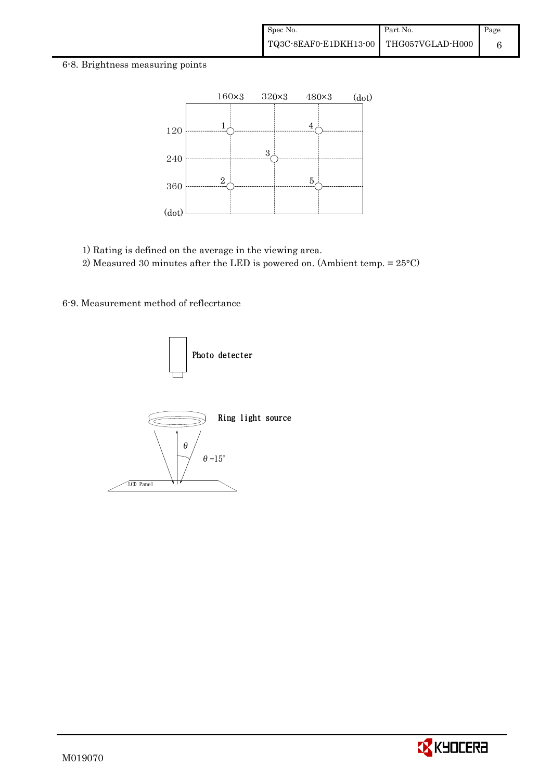#### 6-8. Brightness measuring points



1) Rating is defined on the average in the viewing area.

2) Measured 30 minutes after the LED is powered on. (Ambient temp. = 25°C)

6-9. Measurement method of reflecrtance



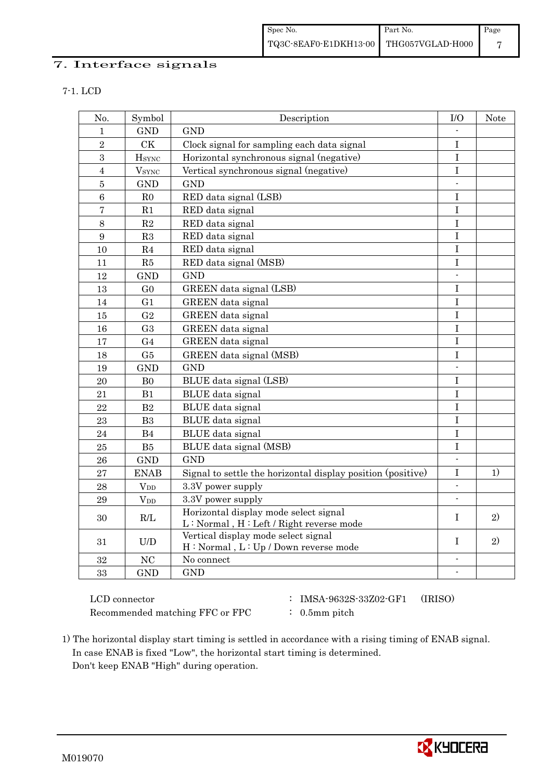## 7. Interface signals

|  | ٧ |
|--|---|

| No.            | Symbol               | Description                                                                      | $\rm I/O$                | Note |
|----------------|----------------------|----------------------------------------------------------------------------------|--------------------------|------|
| $\mathbf{1}$   | <b>GND</b>           | <b>GND</b>                                                                       |                          |      |
| $\overline{2}$ | <b>CK</b>            | Clock signal for sampling each data signal                                       | $\mathbf I$              |      |
| 3              | <b>H</b> sync        | Horizontal synchronous signal (negative)                                         | $\rm I$                  |      |
| $\overline{4}$ | $\rm{V}_{\rm{SYNC}}$ | Vertical synchronous signal (negative)                                           | $\mathbf I$              |      |
| $\overline{5}$ | <b>GND</b>           | <b>GND</b>                                                                       | $\blacksquare$           |      |
| 6              | R <sub>0</sub>       | RED data signal (LSB)                                                            | $\mathbf I$              |      |
| $\overline{7}$ | R1                   | RED data signal                                                                  | $\mathbf I$              |      |
| 8              | $\mathbf{R}2$        | RED data signal                                                                  | $\mathbf I$              |      |
| 9              | R3                   | RED data signal                                                                  | $\bf I$                  |      |
| 10             | R <sub>4</sub>       | RED data signal                                                                  | I                        |      |
| 11             | R5                   | RED data signal (MSB)                                                            | $\mathbf I$              |      |
| 12             | <b>GND</b>           | <b>GND</b>                                                                       | $\blacksquare$           |      |
| 13             | G <sub>0</sub>       | GREEN data signal (LSB)                                                          | $\mathbf I$              |      |
| 14             | G1                   | GREEN data signal                                                                | $\mathbf I$              |      |
| 15             | G <sub>2</sub>       | GREEN data signal                                                                | I                        |      |
| 16             | G <sub>3</sub>       | GREEN data signal                                                                | $\bf I$                  |      |
| 17             | G <sub>4</sub>       | GREEN data signal                                                                | T                        |      |
| 18             | G5                   | GREEN data signal (MSB)                                                          | I                        |      |
| 19             | <b>GND</b>           | <b>GND</b>                                                                       |                          |      |
| 20             | B <sub>0</sub>       | BLUE data signal (LSB)                                                           | I                        |      |
| 21             | B1                   | BLUE data signal                                                                 | I                        |      |
| 22             | B <sub>2</sub>       | BLUE data signal                                                                 | I                        |      |
| 23             | B <sub>3</sub>       | BLUE data signal                                                                 | $\bf I$                  |      |
| 24             | B4                   | BLUE data signal                                                                 | I                        |      |
| 25             | B5                   | BLUE data signal (MSB)                                                           | $\rm I$                  |      |
| 26             | <b>GND</b>           | <b>GND</b>                                                                       | $\overline{\phantom{a}}$ |      |
| 27             | <b>ENAB</b>          | Signal to settle the horizontal display position (positive)                      | I                        | 1)   |
| 28             | $V_{DD}$             | 3.3V power supply                                                                | $\mathbf{r}$             |      |
| 29             | $\rm V_{DD}$         | 3.3V power supply                                                                |                          |      |
| 30             | R/L                  | Horizontal display mode select signal<br>L: Normal, H: Left / Right reverse mode | $\mathbf I$              | 2)   |
| 31             | U/D                  | Vertical display mode select signal<br>H: Normal, L: Up / Down reverse mode      | $\rm I$                  | 2)   |
| 32             | NC                   | No connect                                                                       | $\overline{\phantom{a}}$ |      |
| 33             | <b>GND</b>           | <b>GND</b>                                                                       | $\overline{\phantom{a}}$ |      |

Recommended matching FFC or FPC : 0.5mm pitch

- LCD connector : IMSA-9632S-33Z02-GF1 (IRISO)
	-

 1) The horizontal display start timing is settled in accordance with a rising timing of ENAB signal. In case ENAB is fixed "Low", the horizontal start timing is determined. Don't keep ENAB "High" during operation.

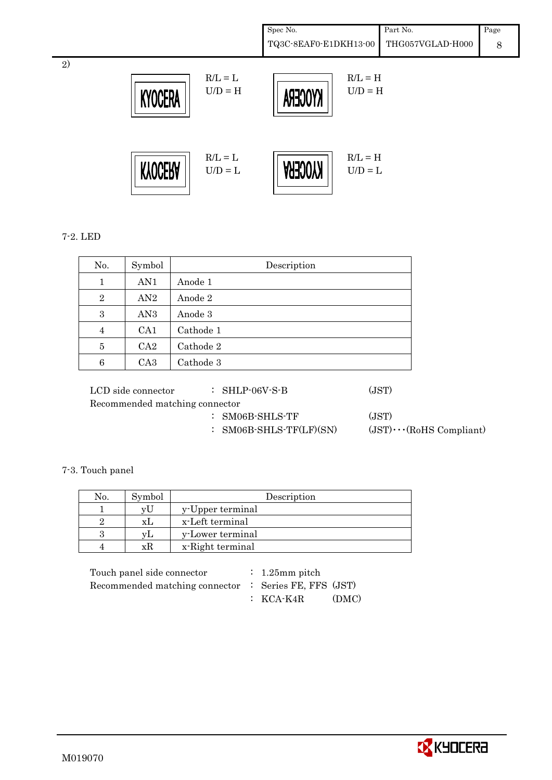| Spec No.                               | Part No. | Page |
|----------------------------------------|----------|------|
| TQ3C-8EAF0-E1DKH13-00 THG057VGLAD-H000 |          |      |



## 7-2. LED

2)

|                | AN1             | Anode 1   |  |  |
|----------------|-----------------|-----------|--|--|
| 1              |                 |           |  |  |
| $\overline{2}$ | AN2             | Anode 2   |  |  |
| 3              | AN <sub>3</sub> | Anode 3   |  |  |
| 4              | CA1             | Cathode 1 |  |  |
| 5              | CA2             | Cathode 2 |  |  |
| 6              | CA <sub>3</sub> | Cathode 3 |  |  |

| пор эке соннести               | . PHE OO F D              | 10 D T /                       |
|--------------------------------|---------------------------|--------------------------------|
| Recommended matching connector |                           |                                |
|                                | $:$ SM06B-SHLS-TF         | (JST)                          |
|                                | $:$ SM06B-SHLS-TF(LF)(SN) | $(JST)\cdots (RoHS Compliant)$ |

## 7-3. Touch panel

| No. | Symbol | Description      |
|-----|--------|------------------|
|     | vU     | y-Upper terminal |
|     | XI.    | x-Left terminal  |
|     |        | y-Lower terminal |
|     | хĸ     | x-Right terminal |

| Touch panel side connector                            | $\therefore$ 1.25mm pitch |       |
|-------------------------------------------------------|---------------------------|-------|
| Recommended matching connector : Series FE, FFS (JST) |                           |       |
|                                                       | $\colon$ KCA-K4R          | (DMC) |

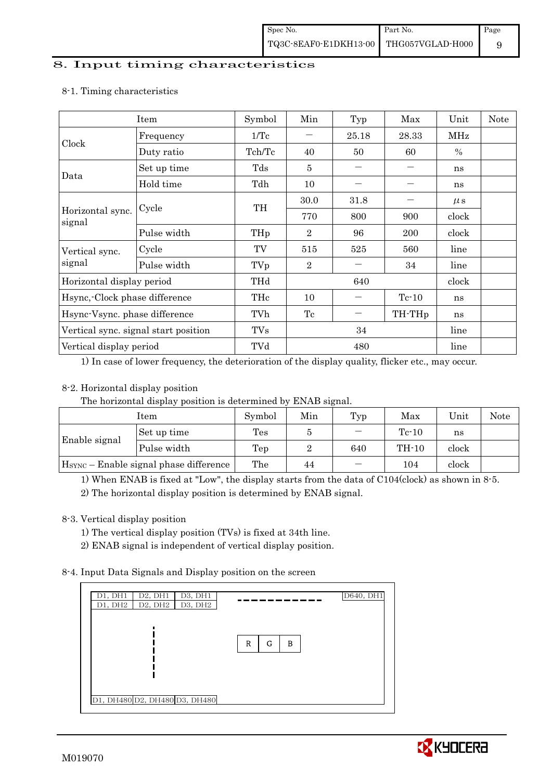### 8. Input timing characteristics

| Item                          |                                      | Symbol          | Min            | Typ   | Max                | Unit          | <b>Note</b> |
|-------------------------------|--------------------------------------|-----------------|----------------|-------|--------------------|---------------|-------------|
| Clock                         | Frequency                            | $1/\mathrm{Tc}$ |                | 25.18 | 28.33              | MHz           |             |
|                               | Duty ratio                           | Tch/Tc          | 40             | 50    | 60                 | $\frac{0}{0}$ |             |
|                               | Set up time                          | Tds             | 5              |       |                    | ns            |             |
| Data                          | Hold time                            | Tdh             | 10             |       |                    | ns            |             |
|                               |                                      | TH              | 30.0           | 31.8  |                    | $\mu$ s       |             |
| Horizontal sync.<br>signal    | Cycle                                |                 | 770            | 800   | 900                | clock         |             |
|                               | Pulse width                          | THp             | $\overline{2}$ | 96    | 200                | clock         |             |
| Cycle<br>Vertical sync.       |                                      | TV              | 515            | 525   | 560                | line          |             |
| signal                        | Pulse width                          | TVp             | $\overline{2}$ |       | 34                 | line          |             |
| Horizontal display period     |                                      | THd             | 640            |       |                    | clock         |             |
| Hsync, Clock phase difference |                                      | THc             | 10             |       | $Tc-10$            | ns            |             |
| Hsync-Vsync. phase difference |                                      | TVh             | Tc             |       | TH-TH <sub>p</sub> | ns            |             |
|                               | Vertical sync. signal start position | <b>TVs</b>      | 34             |       |                    | line          |             |
| Vertical display period       |                                      | TVd             |                | 480   | line               |               |             |

### 8-1. Timing characteristics

1) In case of lower frequency, the deterioration of the display quality, flicker etc., may occur.

## 8-2. Horizontal display position

The horizontal display position is determined by ENAB signal.

| Item                                               |             | Symbol | Min | Typ | Max     | Unit  | Note |
|----------------------------------------------------|-------------|--------|-----|-----|---------|-------|------|
|                                                    | Set up time | Tes    |     |     | $Tc-10$ | ns    |      |
| Enable signal                                      | Pulse width | Tep    |     | 640 | TH-10   | clock |      |
| H <sub>SYNC</sub> – Enable signal phase difference |             | The    | 44  |     | 104     | clock |      |

1) When ENAB is fixed at "Low", the display starts from the data of C104(clock) as shown in 8-5.

2) The horizontal display position is determined by ENAB signal.

## 8-3. Vertical display position

- 1) The vertical display position (TVs) is fixed at 34th line.
- 2) ENAB signal is independent of vertical display position.

## 8-4. Input Data Signals and Display position on the screen

| D1, DH1<br>D2, DH1<br>D3, DH1<br>D2, DH2<br>D3, DH2<br>D1, DH2 | D640, DH1   |
|----------------------------------------------------------------|-------------|
|                                                                | R<br>в<br>G |
|                                                                |             |
| D1, DH480 D2, DH480 D3, DH480                                  |             |

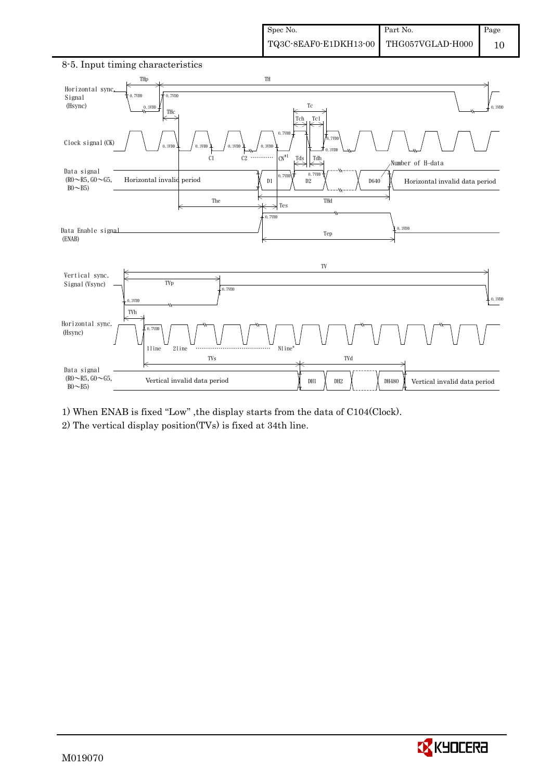

8-5. Input timing characteristics

1) When ENAB is fixed "Low" ,the display starts from the data of C104(Clock).

2) The vertical display position(TVs) is fixed at 34th line.

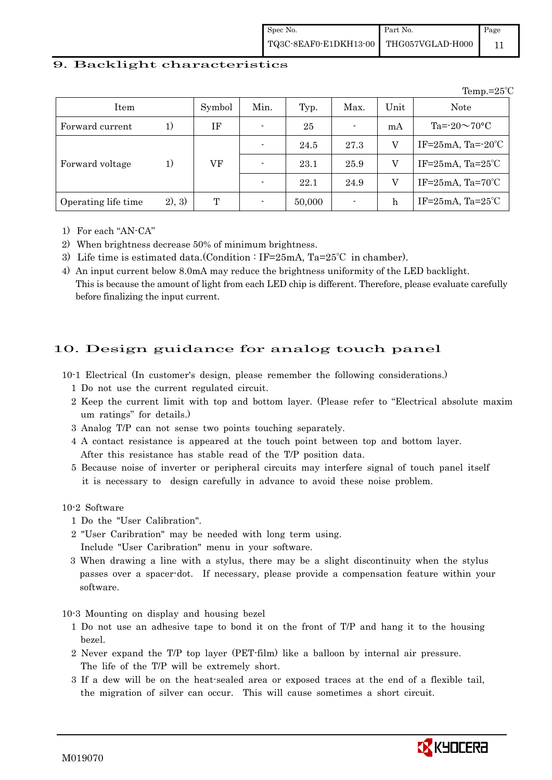| Spec No.                               | Part No. | Page |
|----------------------------------------|----------|------|
| TQ3C-8EAF0-E1DKH13-00 THG057VGLAD-H000 |          |      |

### 9. Backlight characteristics

Temp.=25℃ Item Symbol Min. Typ. Max. Unit Note Forward current 1) IF  $\vert$  - 25  $\vert$  -  $\vert$  mA  $\vert$  Ta=-20 $\sim$ 70°C  $-$  24.5 27.3 V IF=25mA, Ta=-20°C Forward voltage  $1)$  VF  $\vert$  -  $\vert$  23.1  $\vert$  25.9  $\vert$  V  $\vert$  IF=25mA, Ta=25°C  $-$  22.1 24.9 V IF=25mA, Ta=70°C Operating life time 2), 3) T - 50,000 - h IF=25mA, Ta=25℃

- 1) For each "AN-CA"
- 2) When brightness decrease 50% of minimum brightness.
- 3) Life time is estimated data.(Condition : IF=25mA, Ta=25℃ in chamber).
- 4) An input current below 8.0mA may reduce the brightness uniformity of the LED backlight. This is because the amount of light from each LED chip is different. Therefore, please evaluate carefully before finalizing the input current.

## 10. Design guidance for analog touch panel

- 10-1 Electrical (In customer's design, please remember the following considerations.)
	- 1 Do not use the current regulated circuit.
	- 2 Keep the current limit with top and bottom layer. (Please refer to "Electrical absolute maxim um ratings" for details.)
	- 3 Analog T/P can not sense two points touching separately.
	- 4 A contact resistance is appeared at the touch point between top and bottom layer. After this resistance has stable read of the T/P position data.
	- 5 Because noise of inverter or peripheral circuits may interfere signal of touch panel itself it is necessary to design carefully in advance to avoid these noise problem.

10-2 Software

- 1 Do the "User Calibration".
- 2 "User Caribration" may be needed with long term using. Include "User Caribration" menu in your software.
- 3 When drawing a line with a stylus, there may be a slight discontinuity when the stylus passes over a spacer-dot. If necessary, please provide a compensation feature within your software.

10-3 Mounting on display and housing bezel

- 1 Do not use an adhesive tape to bond it on the front of T/P and hang it to the housing bezel.
- 2 Never expand the T/P top layer (PET-film) like a balloon by internal air pressure. The life of the T/P will be extremely short.
- 3 If a dew will be on the heat-sealed area or exposed traces at the end of a flexible tail, the migration of silver can occur. This will cause sometimes a short circuit.

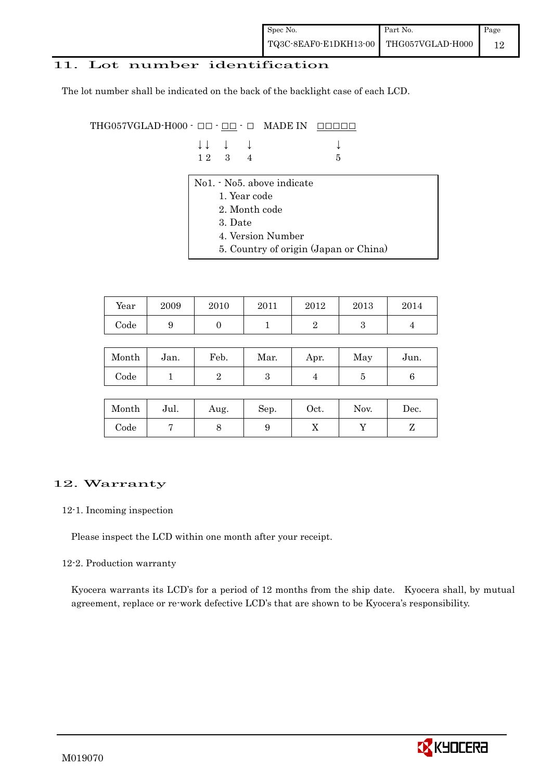| Spec No.                               | Part No. | Page |
|----------------------------------------|----------|------|
| TQ3C-8EAF0-E1DKH13-00 THG057VGLAD-H000 |          | 12   |

### 11. Lot number identification

The lot number shall be indicated on the back of the backlight case of each LCD.

THG057VGLAD-H000  $\cdot$  OO  $\cdot$  <u>OO</u>  $\cdot$  O MADE IN <u>OOOOO</u>

| $\downarrow \downarrow \quad \downarrow \quad \downarrow$ |  |      |
|-----------------------------------------------------------|--|------|
| $12 \quad 3 \quad 4$                                      |  | $-5$ |

- No1. No5. above indicate
	- 1. Year code
	- 2. Month code
	- 3. Date
	- 4. Version Number
	- 5. Country of origin (Japan or China)

| Year | 2009 | 2010 | 2011 | 2012 | 2013 | 2014 |
|------|------|------|------|------|------|------|
| Code | ັ    |      |      |      |      |      |

| Month | Jan. | Feb. | Mar. | Apr. | May | Jun. |
|-------|------|------|------|------|-----|------|
| Code  |      |      |      |      |     |      |

| Month      | Jul. | Aug. | Sep. | $_{\rm Oct.}$ | Nov. | Dec. |
|------------|------|------|------|---------------|------|------|
| $\rm Code$ |      |      |      | ∡⊾            |      |      |

## 12. Warranty

#### 12-1. Incoming inspection

Please inspect the LCD within one month after your receipt.

### 12-2. Production warranty

 Kyocera warrants its LCD's for a period of 12 months from the ship date. Kyocera shall, by mutual agreement, replace or re-work defective LCD's that are shown to be Kyocera's responsibility.

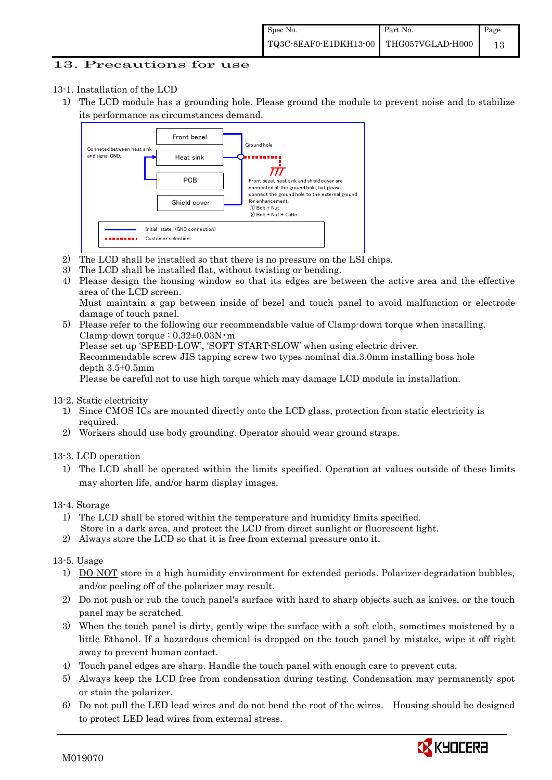## 13. Precautions for use

## 13-1. Installation of the LCD

1) The LCD module has a grounding hole. Please ground the module to prevent noise and to stabilize its performance as circumstances demand.



- 2) The LCD shall be installed so that there is no pressure on the LSI chips.
- 3) The LCD shall be installed flat, without twisting or bending.
- 4) Please design the housing window so that its edges are between the active area and the effective area of the LCD screen.

Must maintain a gap between inside of bezel and touch panel to avoid malfunction or electrode damage of touch panel.

5) Please refer to the following our recommendable value of Clamp-down torque when installing. Clamp-down torque : 0.32±0.03N・m Please set up 'SPEED-LOW', 'SOFT START-SLOW' when using electric driver. Recommendable screw JIS tapping screw two types nominal dia.3.0mm installing boss hole depth 3.5±0.5mm Please be careful not to use high torque which may damage LCD module in installation.

### 13-2. Static electricity

- 1) Since CMOS ICs are mounted directly onto the LCD glass, protection from static electricity is required.
- 2) Workers should use body grounding. Operator should wear ground straps.

### 13-3. LCD operation

1) The LCD shall be operated within the limits specified. Operation at values outside of these limits may shorten life, and/or harm display images.

### 13-4. Storage

- 1) The LCD shall be stored within the temperature and humidity limits specified. Store in a dark area, and protect the LCD from direct sunlight or fluorescent light.
- 2) Always store the LCD so that it is free from external pressure onto it.

### 13-5. Usage

- 1) DO NOT store in a high humidity environment for extended periods. Polarizer degradation bubbles, and/or peeling off of the polarizer may result.
- 2) Do not push or rub the touch panel's surface with hard to sharp objects such as knives, or the touch panel may be scratched.
- 3) When the touch panel is dirty, gently wipe the surface with a soft cloth, sometimes moistened by a little Ethanol. If a hazardous chemical is dropped on the touch panel by mistake, wipe it off right away to prevent human contact.
- 4) Touch panel edges are sharp. Handle the touch panel with enough care to prevent cuts.
- 5) Always keep the LCD free from condensation during testing. Condensation may permanently spot or stain the polarizer.
- 6) Do not pull the LED lead wires and do not bend the root of the wires. Housing should be designed to protect LED lead wires from external stress.

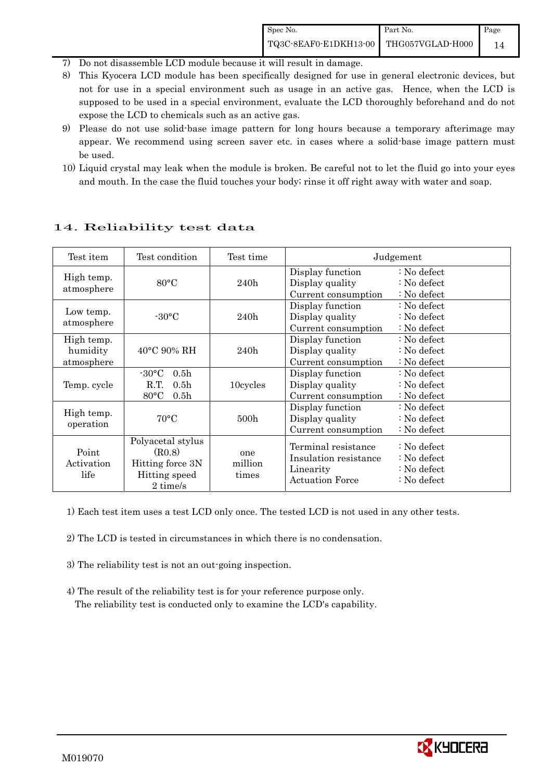- 7) Do not disassemble LCD module because it will result in damage.
- 8) This Kyocera LCD module has been specifically designed for use in general electronic devices, but not for use in a special environment such as usage in an active gas. Hence, when the LCD is supposed to be used in a special environment, evaluate the LCD thoroughly beforehand and do not expose the LCD to chemicals such as an active gas.
- 9) Please do not use solid-base image pattern for long hours because a temporary afterimage may appear. We recommend using screen saver etc. in cases where a solid-base image pattern must be used.
- 10) Liquid crystal may leak when the module is broken. Be careful not to let the fluid go into your eyes and mouth. In the case the fluid touches your body; rinse it off right away with water and soap.

| Test item                            | Test condition                                                                                        | Test time               |                                                                                     | Judgement                                                    |
|--------------------------------------|-------------------------------------------------------------------------------------------------------|-------------------------|-------------------------------------------------------------------------------------|--------------------------------------------------------------|
| High temp.<br>atmosphere             | $80^{\circ}$ C                                                                                        | 240h                    | Display function<br>Display quality<br>Current consumption                          | $: No$ defect<br>$\therefore$ No defect<br>: No defect       |
| Low temp.<br>atmosphere              | $-30\degree C$                                                                                        | 240h                    | Display function<br>Display quality<br>Current consumption                          | $: No$ defect<br>$\therefore$ No defect<br>$: No$ defect     |
| High temp.<br>humidity<br>atmosphere | $40^{\circ}$ C 90% RH                                                                                 | 240h                    | Display function<br>Display quality<br>Current consumption                          | $\therefore$ No defect<br>$: No$ defect<br>: No defect       |
| Temp. cycle                          | $-30^{\circ}$ C<br>0.5 <sub>h</sub><br>R.T.<br>0.5 <sub>h</sub><br>$80^{\circ}$ C<br>0.5 <sub>h</sub> | 10cycles                | Display function<br>Display quality<br>Current consumption                          | : No defect<br>$\therefore$ No defect<br>: No defect         |
| High temp.<br>operation              | $70^{\circ}$ C                                                                                        | 500 <sub>h</sub>        | Display function<br>Display quality<br>Current consumption                          | : No defect<br>: No defect<br>: No defect                    |
| Point<br>Activation<br>life          | Polyacetal stylus<br>(R0.8)<br>Hitting force 3N<br>Hitting speed<br>2 time/s                          | one<br>million<br>times | Terminal resistance<br>Insulation resistance<br>Linearity<br><b>Actuation Force</b> | : No defect<br>$: No$ defect<br>: No defect<br>$: No$ defect |

## 14. Reliability test data

1) Each test item uses a test LCD only once. The tested LCD is not used in any other tests.

- 2) The LCD is tested in circumstances in which there is no condensation.
- 3) The reliability test is not an out-going inspection.
- 4) The result of the reliability test is for your reference purpose only. The reliability test is conducted only to examine the LCD's capability.

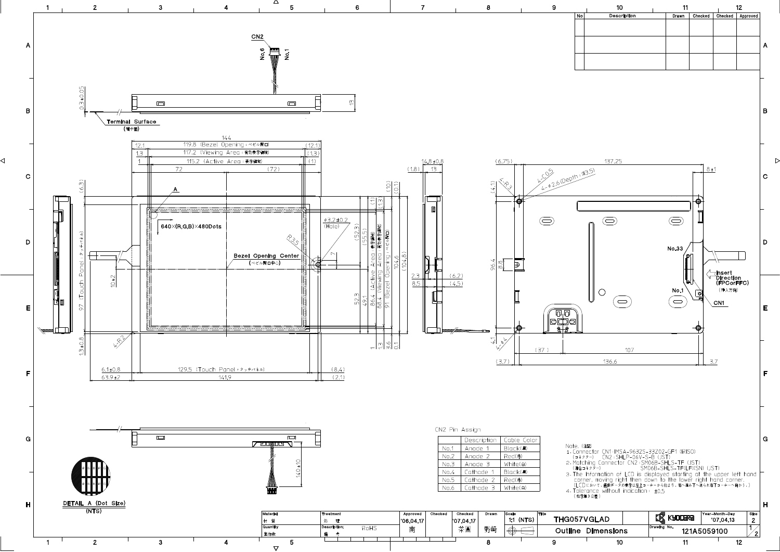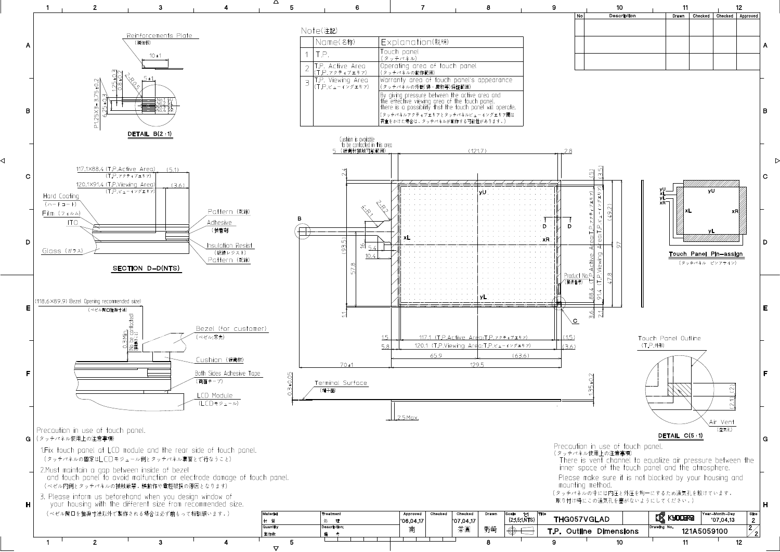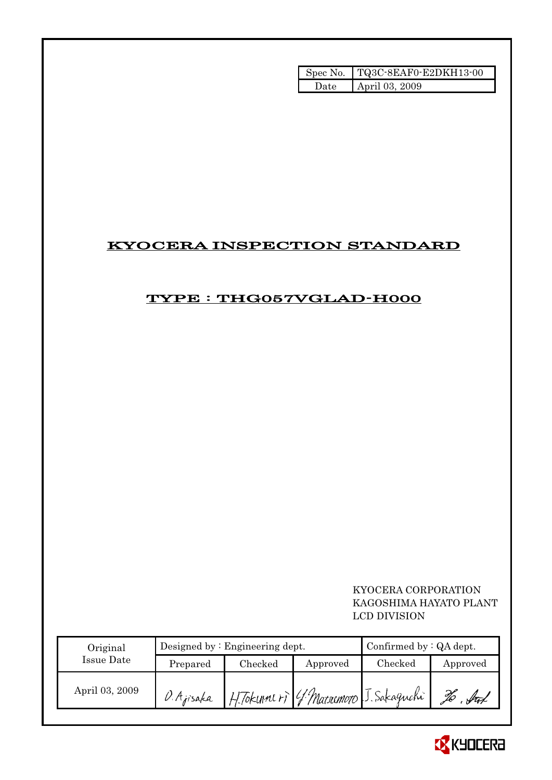| Spec No. | TQ3C-8EAF0-E2DKH13-00 |
|----------|-----------------------|
| Date.    | April 03, 2009        |

# KYOCERA INSPECTION STANDARD

# TYPE : THG057VGLAD-H000

## KYOCERA CORPORATION KAGOSHIMA HAYATO PLANT LCD DIVISION

| Original       |            | Designed by: Engineering dept. |          | Confirmed by $:QA$ dept.              |          |
|----------------|------------|--------------------------------|----------|---------------------------------------|----------|
| Issue Date     | Prepared   | Checked                        | Approved | $\rm Checked$                         | Approved |
| April 03, 2009 | O. Ajisaka |                                |          | H. Tokunners 4 Marremoto J. Sakaguchi |          |

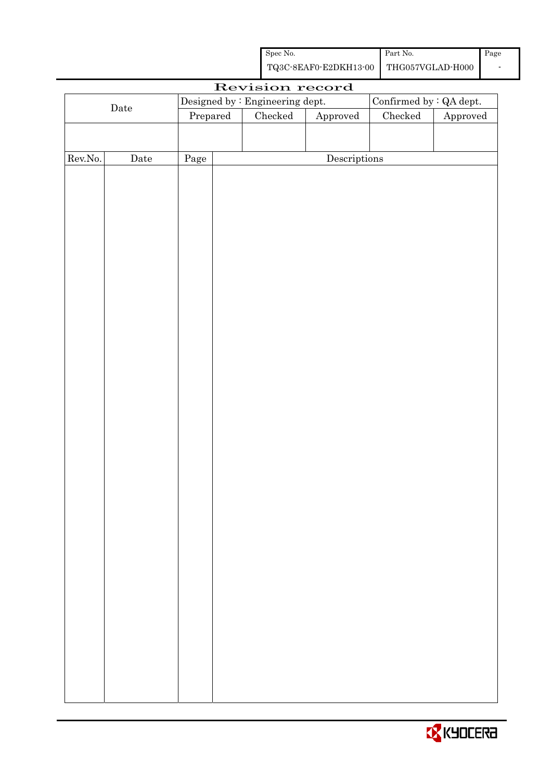| Spec No.                               | Part No. | Page |
|----------------------------------------|----------|------|
| TQ3C-8EAF0-E2DKH13-00 THG057VGLAD-H000 |          |      |

|         |             |          | Revision record                 |                        |                         |          |
|---------|-------------|----------|---------------------------------|------------------------|-------------------------|----------|
|         |             |          | Designed by : Engineering dept. |                        | Confirmed by : QA dept. |          |
|         | $\rm{Date}$ | Prepared | Checked                         | ${\Large\bf Approved}$ | $\rm Checked$           | Approved |
|         |             |          |                                 |                        |                         |          |
|         |             |          |                                 |                        |                         |          |
| Rev.No. | $\rm{Date}$ | Page     |                                 | Descriptions           |                         |          |
|         |             |          |                                 |                        |                         |          |
|         |             |          |                                 |                        |                         |          |
|         |             |          |                                 |                        |                         |          |
|         |             |          |                                 |                        |                         |          |
|         |             |          |                                 |                        |                         |          |
|         |             |          |                                 |                        |                         |          |
|         |             |          |                                 |                        |                         |          |
|         |             |          |                                 |                        |                         |          |
|         |             |          |                                 |                        |                         |          |
|         |             |          |                                 |                        |                         |          |
|         |             |          |                                 |                        |                         |          |
|         |             |          |                                 |                        |                         |          |
|         |             |          |                                 |                        |                         |          |
|         |             |          |                                 |                        |                         |          |
|         |             |          |                                 |                        |                         |          |
|         |             |          |                                 |                        |                         |          |
|         |             |          |                                 |                        |                         |          |
|         |             |          |                                 |                        |                         |          |
|         |             |          |                                 |                        |                         |          |
|         |             |          |                                 |                        |                         |          |
|         |             |          |                                 |                        |                         |          |
|         |             |          |                                 |                        |                         |          |
|         |             |          |                                 |                        |                         |          |
|         |             |          |                                 |                        |                         |          |
|         |             |          |                                 |                        |                         |          |
|         |             |          |                                 |                        |                         |          |
|         |             |          |                                 |                        |                         |          |
|         |             |          |                                 |                        |                         |          |
|         |             |          |                                 |                        |                         |          |
|         |             |          |                                 |                        |                         |          |
|         |             |          |                                 |                        |                         |          |
|         |             |          |                                 |                        |                         |          |
|         |             |          |                                 |                        |                         |          |
|         |             |          |                                 |                        |                         |          |
|         |             |          |                                 |                        |                         |          |
|         |             |          |                                 |                        |                         |          |
|         |             |          |                                 |                        |                         |          |
|         |             |          |                                 |                        |                         |          |

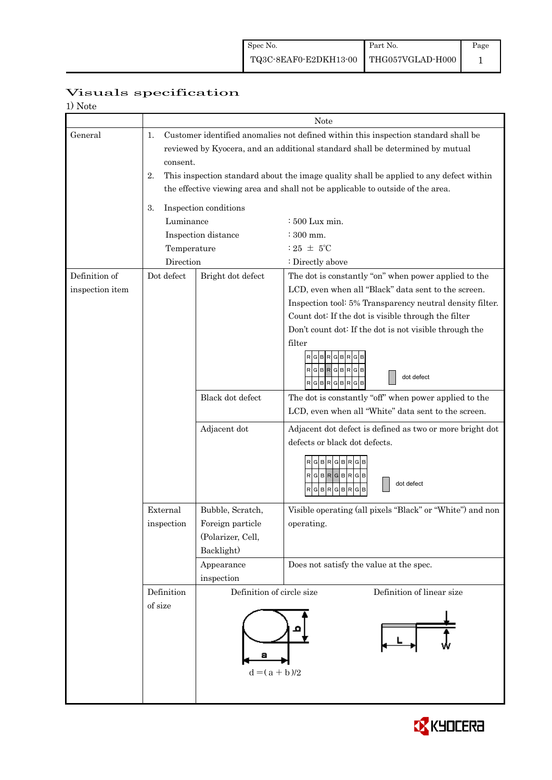| 1) Note         |                                                        |                                                                                                                                                                          |                                                                                                              |  |  |  |  |  |
|-----------------|--------------------------------------------------------|--------------------------------------------------------------------------------------------------------------------------------------------------------------------------|--------------------------------------------------------------------------------------------------------------|--|--|--|--|--|
|                 | Note                                                   |                                                                                                                                                                          |                                                                                                              |  |  |  |  |  |
| General         | 1.<br>consent.                                         | Customer identified anomalies not defined within this inspection standard shall be<br>reviewed by Kyocera, and an additional standard shall be determined by mutual      |                                                                                                              |  |  |  |  |  |
|                 | 2.                                                     | This inspection standard about the image quality shall be applied to any defect within<br>the effective viewing area and shall not be applicable to outside of the area. |                                                                                                              |  |  |  |  |  |
|                 | 3.                                                     | Inspection conditions                                                                                                                                                    |                                                                                                              |  |  |  |  |  |
|                 | Luminance                                              | : 500 Lux min.                                                                                                                                                           |                                                                                                              |  |  |  |  |  |
|                 |                                                        | Inspection distance                                                                                                                                                      | $\div$ 300 mm.                                                                                               |  |  |  |  |  |
|                 | Temperature                                            |                                                                                                                                                                          | : $25 \pm 5^{\circ}$ C                                                                                       |  |  |  |  |  |
|                 | Direction                                              |                                                                                                                                                                          | : Directly above                                                                                             |  |  |  |  |  |
| Definition of   | Dot defect                                             | Bright dot defect                                                                                                                                                        | The dot is constantly "on" when power applied to the                                                         |  |  |  |  |  |
| inspection item |                                                        |                                                                                                                                                                          | LCD, even when all "Black" data sent to the screen.                                                          |  |  |  |  |  |
|                 |                                                        |                                                                                                                                                                          | Inspection tool: 5% Transparency neutral density filter.                                                     |  |  |  |  |  |
|                 |                                                        |                                                                                                                                                                          | Count dot: If the dot is visible through the filter                                                          |  |  |  |  |  |
|                 |                                                        | Don't count dot: If the dot is not visible through the                                                                                                                   |                                                                                                              |  |  |  |  |  |
|                 |                                                        |                                                                                                                                                                          | filter<br>$G$ $B$ $R$ $G$ $B$ $R$ $G$<br>$R$ $G$ $B$ $R$ $G$ $B$ $R$ $G$ $B$<br>dot defect<br>RGBRGBRGB      |  |  |  |  |  |
|                 |                                                        | Black dot defect                                                                                                                                                         | The dot is constantly "off" when power applied to the<br>LCD, even when all "White" data sent to the screen. |  |  |  |  |  |
|                 |                                                        | Adjacent dot                                                                                                                                                             | Adjacent dot defect is defined as two or more bright dot<br>defects or black dot defects.                    |  |  |  |  |  |
|                 |                                                        |                                                                                                                                                                          | RGBRGBRG<br>$RG$ B $RG$ B $RG$ B<br>dot defect<br>$R$ $G$ $B$ $R$ $G$ $B$ $R$<br>G<br>B                      |  |  |  |  |  |
|                 | External                                               | Bubble, Scratch,                                                                                                                                                         | Visible operating (all pixels "Black" or "White") and non                                                    |  |  |  |  |  |
|                 | inspection                                             | Foreign particle                                                                                                                                                         | operating.                                                                                                   |  |  |  |  |  |
|                 |                                                        | (Polarizer, Cell,                                                                                                                                                        |                                                                                                              |  |  |  |  |  |
|                 |                                                        | Backlight)                                                                                                                                                               |                                                                                                              |  |  |  |  |  |
|                 |                                                        | Appearance                                                                                                                                                               | Does not satisfy the value at the spec.                                                                      |  |  |  |  |  |
|                 | Definition                                             | inspection                                                                                                                                                               |                                                                                                              |  |  |  |  |  |
|                 | Definition of linear size<br>Definition of circle size |                                                                                                                                                                          |                                                                                                              |  |  |  |  |  |
|                 | of size                                                | $d = (a + b)/2$                                                                                                                                                          |                                                                                                              |  |  |  |  |  |

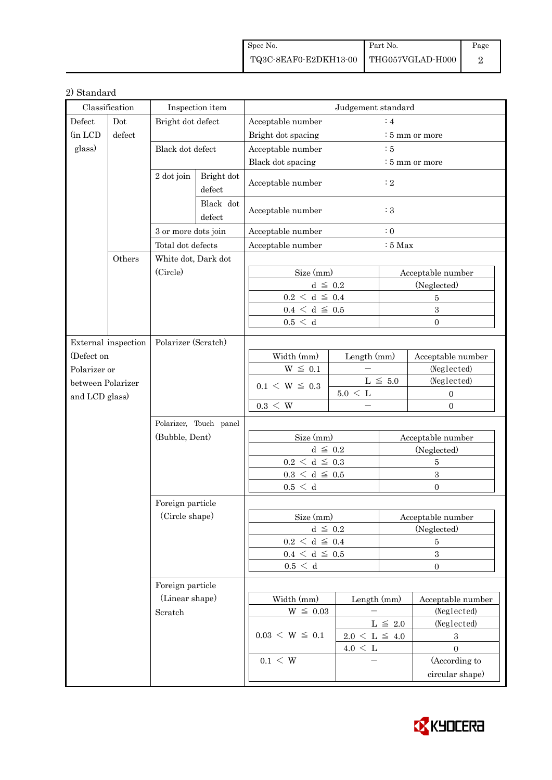| Spec No.                               | Part No. | Page |
|----------------------------------------|----------|------|
| TQ3C-8EAF0-E2DKH13-00 THG057VGLAD-H000 |          |      |

## 2) Standard

| Classification                                                                                                 |                     | Inspection item     |                               | Judgement standard                   |                     |                            |                         |  |
|----------------------------------------------------------------------------------------------------------------|---------------------|---------------------|-------------------------------|--------------------------------------|---------------------|----------------------------|-------------------------|--|
| Defect<br>Dot                                                                                                  |                     | Bright dot defect   |                               | :4<br>Acceptable number              |                     |                            |                         |  |
| (in LCD                                                                                                        | defect              |                     |                               | Bright dot spacing                   |                     |                            | : 5 mm or more          |  |
| glass)<br>Black dot defect<br>Bright dot<br>2 dot join<br>defect<br>Black dot<br>defect<br>3 or more dots join |                     |                     |                               | Acceptable number                    |                     | $\therefore$ 5             |                         |  |
|                                                                                                                |                     |                     |                               | Black dot spacing                    |                     | $\frac{1}{2}$ 5 mm or more |                         |  |
|                                                                                                                |                     |                     |                               | Acceptable number                    |                     | $\cdot$ 2                  |                         |  |
|                                                                                                                |                     |                     |                               | Acceptable number<br>$\therefore$ 3  |                     |                            |                         |  |
|                                                                                                                |                     | Acceptable number   |                               | $\colon 0$                           |                     |                            |                         |  |
|                                                                                                                | Total dot defects   |                     | Acceptable number<br>$:5$ Max |                                      |                     |                            |                         |  |
|                                                                                                                | Others              | White dot, Dark dot |                               |                                      |                     |                            |                         |  |
|                                                                                                                |                     | (Circle)            |                               | Size (mm)                            |                     | Acceptable number          |                         |  |
|                                                                                                                |                     |                     |                               | $d \leq 0.2$                         |                     | (Neglected)                |                         |  |
|                                                                                                                |                     |                     |                               | $0.2 \le d \le 0.4$                  |                     |                            | 5                       |  |
|                                                                                                                |                     |                     |                               | $0.4 \le d \le 0.5$                  |                     |                            | $\overline{\mathbf{3}}$ |  |
|                                                                                                                |                     |                     |                               | 0.5 < d                              |                     |                            | $\overline{0}$          |  |
|                                                                                                                | External inspection | Polarizer (Scratch) |                               |                                      |                     |                            |                         |  |
| (Defect on                                                                                                     |                     |                     |                               | Width (mm)                           | Length (mm)         |                            | Acceptable number       |  |
| Polarizer or                                                                                                   |                     |                     |                               | $W \leq 0.1$                         |                     |                            | (Neglected)             |  |
| between Polarizer                                                                                              |                     |                     |                               |                                      |                     | $L \leq 5.0$               | (Neglected)             |  |
| and LCD glass)                                                                                                 |                     |                     |                               | $0.1 \le W \le 0.3$                  | $5.0 \leq L$        |                            | $\boldsymbol{0}$        |  |
|                                                                                                                |                     |                     |                               | $0.3 \leq W$                         |                     |                            | $\mathbf{0}$            |  |
|                                                                                                                |                     |                     | Polarizer, Touch panel        |                                      |                     |                            |                         |  |
|                                                                                                                |                     | (Bubble, Dent)      |                               | Size (mm)                            |                     | Acceptable number          |                         |  |
|                                                                                                                |                     |                     |                               | $d \leq 0.2$                         |                     | (Neglected)                |                         |  |
|                                                                                                                |                     |                     |                               | $0.2\,<\,\mathrm{d}\,\leq\,0.3$      |                     | $\overline{5}$             |                         |  |
|                                                                                                                |                     |                     |                               | $0.3\,<\,\mathrm{d}\,\leq\,0.5$      |                     | $\overline{\mathbf{3}}$    |                         |  |
|                                                                                                                |                     |                     |                               | 0.5 < d                              |                     |                            | $\Omega$                |  |
|                                                                                                                |                     | Foreign particle    |                               |                                      |                     |                            |                         |  |
| (Circle shape)<br>Foreign particle<br>(Linear shape)<br>Scratch                                                |                     |                     |                               | Size (mm)                            |                     | Acceptable number          |                         |  |
|                                                                                                                |                     |                     |                               | $d \leq 0.2$                         |                     | (Neglected)                |                         |  |
|                                                                                                                |                     |                     |                               | $0.2\,<\,\mathrm{d}\,\,\leq\,$ $0.4$ |                     | $\bf 5$                    |                         |  |
|                                                                                                                |                     |                     |                               | $0.4\,<\,\mathrm{d}\,\leq\,$ 0.5     |                     |                            | $\sqrt{3}$              |  |
|                                                                                                                |                     |                     | 0.5 < d                       |                                      | $\overline{0}$      |                            |                         |  |
|                                                                                                                |                     |                     |                               |                                      |                     |                            |                         |  |
|                                                                                                                |                     |                     |                               | Width (mm)                           | Length (mm)         |                            | Acceptable number       |  |
|                                                                                                                |                     |                     |                               | $W \leq 0.03$                        |                     |                            | (Neglected)             |  |
|                                                                                                                |                     |                     |                               | $0.03 \le W \le 0.1$                 |                     | $L~\leq~2.0$               | (Neglected)             |  |
|                                                                                                                |                     |                     |                               |                                      | $2.0 \le L \le 4.0$ |                            | $\boldsymbol{3}$        |  |
|                                                                                                                |                     |                     |                               |                                      | $4.0 \, \leq \,$ L  |                            | $\overline{0}$          |  |
|                                                                                                                |                     |                     |                               | $0.1 \leq W$                         |                     |                            | (According to           |  |
|                                                                                                                |                     |                     |                               |                                      |                     |                            | circular shape)         |  |